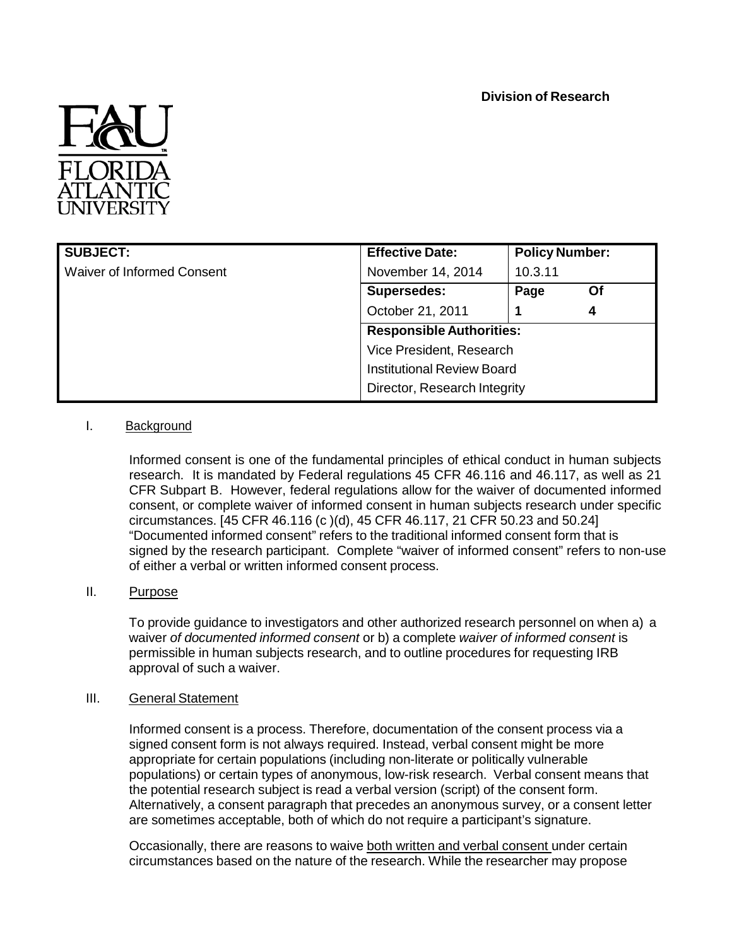

| <b>SUBJECT:</b>            | <b>Effective Date:</b>                                                                        | <b>Policy Number:</b> |    |
|----------------------------|-----------------------------------------------------------------------------------------------|-----------------------|----|
| Waiver of Informed Consent | November 14, 2014                                                                             | 10.3.11               |    |
|                            | <b>Supersedes:</b>                                                                            | Page                  | Οf |
|                            | October 21, 2011                                                                              |                       | 4  |
|                            | <b>Responsible Authorities:</b>                                                               |                       |    |
|                            | Vice President, Research<br><b>Institutional Review Board</b><br>Director, Research Integrity |                       |    |
|                            |                                                                                               |                       |    |
|                            |                                                                                               |                       |    |

# I. Background

Informed consent is one of the fundamental principles of ethical conduct in human subjects research. It is mandated by Federal regulations 45 CFR 46.116 and 46.117, as well as 21 CFR Subpart B. However, federal regulations allow for the waiver of documented informed consent, or complete waiver of informed consent in human subjects research under specific circumstances. [45 CFR 46.116 (c )(d), 45 CFR 46.117, 21 CFR 50.23 and 50.24] "Documented informed consent" refers to the traditional informed consent form that is signed by the research participant. Complete "waiver of informed consent" refers to non-use of either a verbal or written informed consent process.

## II. Purpose

To provide guidance to investigators and other authorized research personnel on when a) a waiver *of documented informed consent* or b) a complete *waiver of informed consent* is permissible in human subjects research, and to outline procedures for requesting IRB approval of such a waiver.

#### III. General Statement

Informed consent is a process. Therefore, documentation of the consent process via a signed consent form is not always required. Instead, verbal consent might be more appropriate for certain populations (including non-literate or politically vulnerable populations) or certain types of anonymous, low-risk research. Verbal consent means that the potential research subject is read a verbal version (script) of the consent form. Alternatively, a consent paragraph that precedes an anonymous survey, or a consent letter are sometimes acceptable, both of which do not require a participant's signature.

Occasionally, there are reasons to waive both written and verbal consent under certain circumstances based on the nature of the research. While the researcher may propose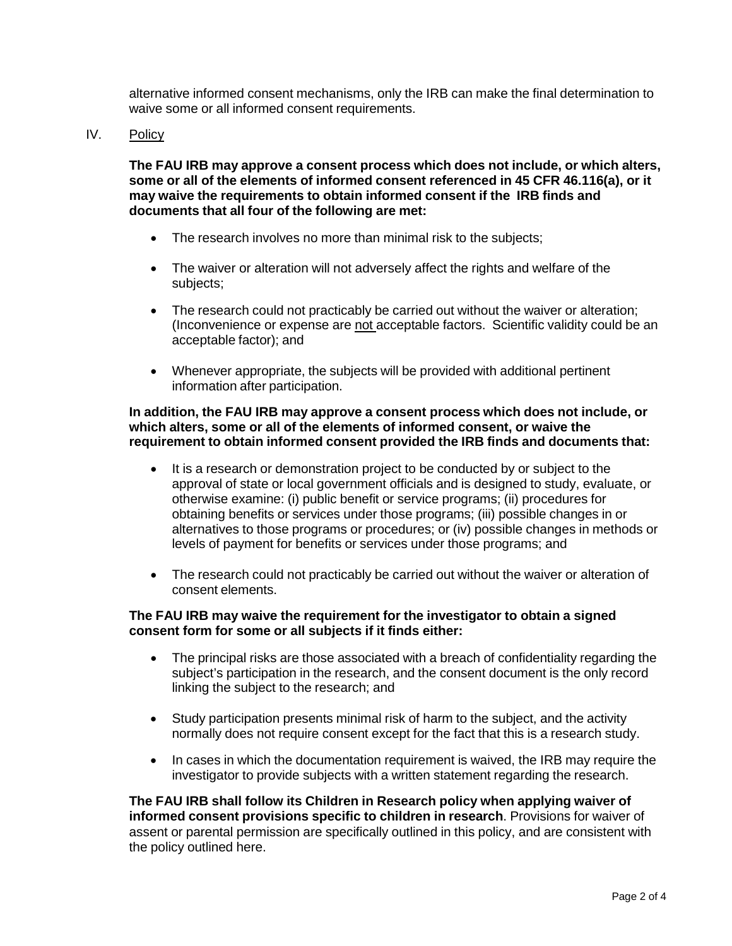alternative informed consent mechanisms, only the IRB can make the final determination to waive some or all informed consent requirements.

IV. Policy

**The FAU IRB may approve a consent process which does not include, or which alters, some or all of the elements of informed consent referenced in 45 CFR 46.116(a), or it may waive the requirements to obtain informed consent if the IRB finds and documents that all four of the following are met:**

- The research involves no more than minimal risk to the subjects;
- The waiver or alteration will not adversely affect the rights and welfare of the subjects;
- The research could not practicably be carried out without the waiver or alteration; (Inconvenience or expense are not acceptable factors. Scientific validity could be an acceptable factor); and
- Whenever appropriate, the subjects will be provided with additional pertinent information after participation.

#### **In addition, the FAU IRB may approve a consent process which does not include, or which alters, some or all of the elements of informed consent, or waive the requirement to obtain informed consent provided the IRB finds and documents that:**

- It is a research or demonstration project to be conducted by or subject to the approval of state or local government officials and is designed to study, evaluate, or otherwise examine: (i) public benefit or service programs; (ii) procedures for obtaining benefits or services under those programs; (iii) possible changes in or alternatives to those programs or procedures; or (iv) possible changes in methods or levels of payment for benefits or services under those programs; and
- The research could not practicably be carried out without the waiver or alteration of consent elements.

## **The FAU IRB may waive the requirement for the investigator to obtain a signed consent form for some or all subjects if it finds either:**

- The principal risks are those associated with a breach of confidentiality regarding the subject's participation in the research, and the consent document is the only record linking the subject to the research; and
- Study participation presents minimal risk of harm to the subject, and the activity normally does not require consent except for the fact that this is a research study.
- In cases in which the documentation requirement is waived, the IRB may require the investigator to provide subjects with a written statement regarding the research.

**The FAU IRB shall follow its Children in Research policy when applying waiver of informed consent provisions specific to children in research**. Provisions for waiver of assent or parental permission are specifically outlined in this policy, and are consistent with the policy outlined here.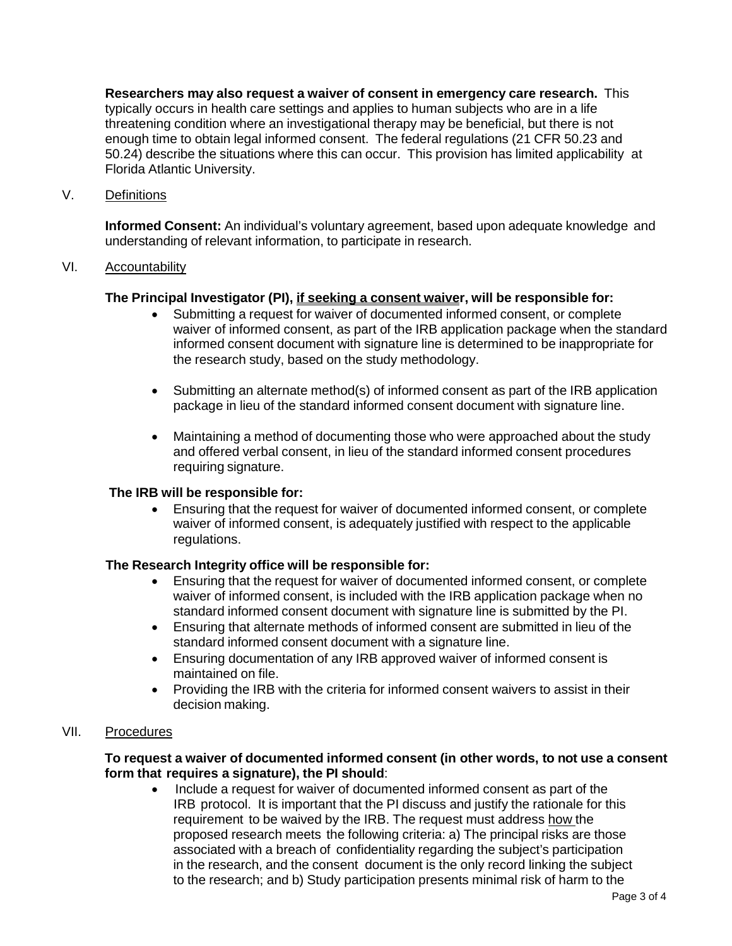**Researchers may also request a waiver of consent in emergency care research.** This typically occurs in health care settings and applies to human subjects who are in a life threatening condition where an investigational therapy may be beneficial, but there is not enough time to obtain legal informed consent. The federal regulations (21 CFR 50.23 and 50.24) describe the situations where this can occur. This provision has limited applicability at Florida Atlantic University.

V. Definitions

**Informed Consent:** An individual's voluntary agreement, based upon adequate knowledge and understanding of relevant information, to participate in research.

#### VI. Accountability

## **The Principal Investigator (PI), if seeking a consent waiver, will be responsible for:**

- Submitting a request for waiver of documented informed consent, or complete waiver of informed consent, as part of the IRB application package when the standard informed consent document with signature line is determined to be inappropriate for the research study, based on the study methodology.
- Submitting an alternate method(s) of informed consent as part of the IRB application package in lieu of the standard informed consent document with signature line.
- Maintaining a method of documenting those who were approached about the study and offered verbal consent, in lieu of the standard informed consent procedures requiring signature.

#### **The IRB will be responsible for:**

• Ensuring that the request for waiver of documented informed consent, or complete waiver of informed consent, is adequately justified with respect to the applicable regulations.

#### **The Research Integrity office will be responsible for:**

- Ensuring that the request for waiver of documented informed consent, or complete waiver of informed consent, is included with the IRB application package when no standard informed consent document with signature line is submitted by the PI.
- Ensuring that alternate methods of informed consent are submitted in lieu of the standard informed consent document with a signature line.
- Ensuring documentation of any IRB approved waiver of informed consent is maintained on file.
- Providing the IRB with the criteria for informed consent waivers to assist in their decision making.

# VII. Procedures

## **To request a waiver of documented informed consent (in other words, to not use a consent form that requires a signature), the PI should**:

• Include a request for waiver of documented informed consent as part of the IRB protocol. It is important that the PI discuss and justify the rationale for this requirement to be waived by the IRB. The request must address how the proposed research meets the following criteria: a) The principal risks are those associated with a breach of confidentiality regarding the subject's participation in the research, and the consent document is the only record linking the subject to the research; and b) Study participation presents minimal risk of harm to the